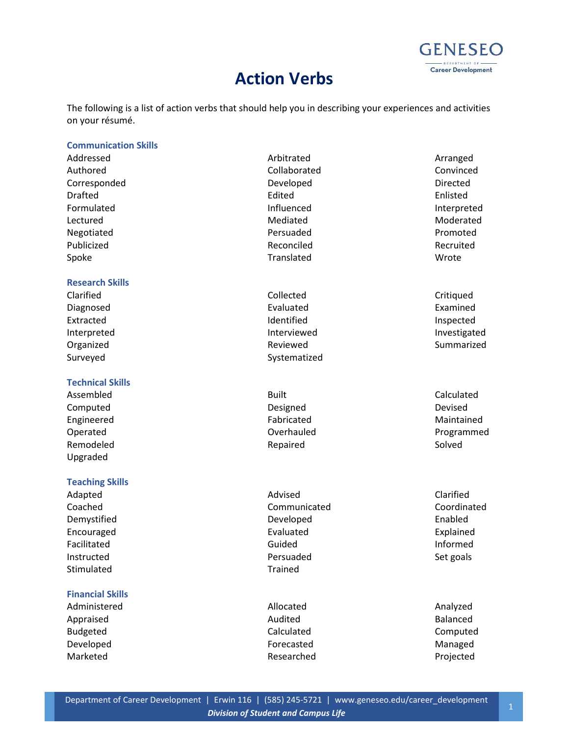# **Action Verbs**



The following is a list of action verbs that should help you in describing your experiences and activities on your résumé.

#### **Communication Skills**

| Addressed      | Arbitrated   | Arranged    |
|----------------|--------------|-------------|
| Authored       | Collaborated | Convinced   |
| Corresponded   | Developed    | Directed    |
| <b>Drafted</b> | Edited       | Enlisted    |
| Formulated     | Influenced   | Interpreted |
| Lectured       | Mediated     | Moderated   |
| Negotiated     | Persuaded    | Promoted    |
| Publicized     | Reconciled   | Recruited   |
| Spoke          | Translated   | Wrote       |
|                |              |             |

# **Research Skills**

# **Technical Skills**

Assembled and Calculated Built Calculated Built Calculated Computed **Designed** Designed **Designed** Devised Engineered **Engineered Engineered Engineered Maintained** Remodeled **Repaired** Repaired Solved Upgraded

#### **Teaching Skills**

Stimulated Trained

### **Financial Skills**

Administered **Allocated** Allocated **Analyzed** Analyzed Appraised **Audited Audited Audited Audited Balanced** Budgeted **Calculated** Calculated **Calculated** Computed Developed and a state of the Forecasted Controller and Managed Managed Marketed **Researched** Researched **Projected** 

Clarified Clarified Collected Collected Critiqued Diagnosed **Examined** Evaluated **Examined** Examined Extracted **Inspected** Identified **Inspected** Surveyed Surveyed Systematized

Adapted Clarified **Advised** Advised **Advised** Clarified Coached Communicated Coordinated Demystified **Developed** Developed **Enabled** Encouraged Evaluated Explained Facilitated and a state of the Guided Contract of the Informed Instructed **East Constructed** Persuaded **Persuaded** Set goals

Interpreted **Interviewed** Interviewed Interviewed Investigated Organized **Summarized Reviewed Reviewed Reviewed** Summarized

Operated **Overhauled Constanting Overhauled Programmed Programmed**